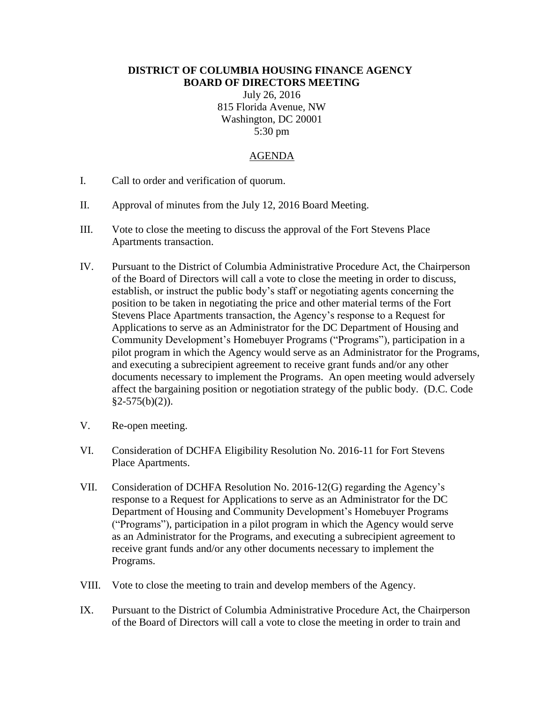## **DISTRICT OF COLUMBIA HOUSING FINANCE AGENCY BOARD OF DIRECTORS MEETING**

July 26, 2016 815 Florida Avenue, NW Washington, DC 20001 5:30 pm

## AGENDA

- I. Call to order and verification of quorum.
- II. Approval of minutes from the July 12, 2016 Board Meeting.
- III. Vote to close the meeting to discuss the approval of the Fort Stevens Place Apartments transaction.
- IV. Pursuant to the District of Columbia Administrative Procedure Act, the Chairperson of the Board of Directors will call a vote to close the meeting in order to discuss, establish, or instruct the public body's staff or negotiating agents concerning the position to be taken in negotiating the price and other material terms of the Fort Stevens Place Apartments transaction, the Agency's response to a Request for Applications to serve as an Administrator for the DC Department of Housing and Community Development's Homebuyer Programs ("Programs"), participation in a pilot program in which the Agency would serve as an Administrator for the Programs, and executing a subrecipient agreement to receive grant funds and/or any other documents necessary to implement the Programs. An open meeting would adversely affect the bargaining position or negotiation strategy of the public body. (D.C. Code  $§2-575(b)(2)).$
- V. Re-open meeting.
- VI. Consideration of DCHFA Eligibility Resolution No. 2016-11 for Fort Stevens Place Apartments.
- VII. Consideration of DCHFA Resolution No. 2016-12(G) regarding the Agency's response to a Request for Applications to serve as an Administrator for the DC Department of Housing and Community Development's Homebuyer Programs ("Programs"), participation in a pilot program in which the Agency would serve as an Administrator for the Programs, and executing a subrecipient agreement to receive grant funds and/or any other documents necessary to implement the Programs.
- VIII. Vote to close the meeting to train and develop members of the Agency.
- IX. Pursuant to the District of Columbia Administrative Procedure Act, the Chairperson of the Board of Directors will call a vote to close the meeting in order to train and